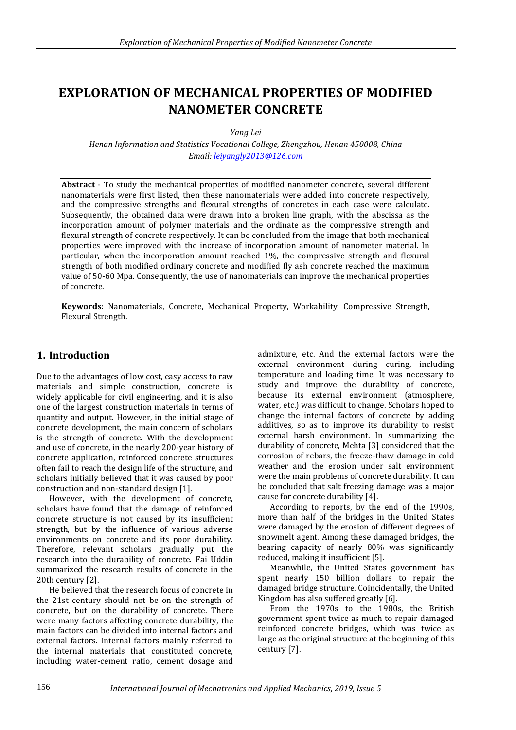# **EXPLORATION OF MECHANICAL PROPERTIES OF MODIFIED NANOMETER CONCRETE**

*Yang Lei*

*Henan Information and Statistics Vocational College, Zhengzhou, Henan 450008, China Email: [leiyangly2013@126.com](mailto:leiyangly2013@126.com)*

**Abstract** - To study the mechanical properties of modified nanometer concrete, several different nanomaterials were first listed, then these nanomaterials were added into concrete respectively, and the compressive strengths and flexural strengths of concretes in each case were calculate. Subsequently, the obtained data were drawn into a broken line graph, with the abscissa as the incorporation amount of polymer materials and the ordinate as the compressive strength and flexural strength of concrete respectively. It can be concluded from the image that both mechanical properties were improved with the increase of incorporation amount of nanometer material. In particular, when the incorporation amount reached 1%, the compressive strength and flexural strength of both modified ordinary concrete and modified fly ash concrete reached the maximum value of 50-60 Mpa. Consequently, the use of nanomaterials can improve the mechanical properties of concrete.

**Keywords**: Nanomaterials, Concrete, Mechanical Property, Workability, Compressive Strength, Flexural Strength.

# **1. Introduction**

Due to the advantages of low cost, easy access to raw materials and simple construction, concrete is widely applicable for civil engineering, and it is also one of the largest construction materials in terms of quantity and output. However, in the initial stage of concrete development, the main concern of scholars is the strength of concrete. With the development and use of concrete, in the nearly 200-year history of concrete application, reinforced concrete structures often fail to reach the design life of the structure, and scholars initially believed that it was caused by poor construction and non-standard design [1].

However, with the development of concrete, scholars have found that the damage of reinforced concrete structure is not caused by its insufficient strength, but by the influence of various adverse environments on concrete and its poor durability. Therefore, relevant scholars gradually put the research into the durability of concrete. Fai Uddin summarized the research results of concrete in the 20th century [2].

He believed that the research focus of concrete in the 21st century should not be on the strength of concrete, but on the durability of concrete. There were many factors affecting concrete durability, the main factors can be divided into internal factors and external factors. Internal factors mainly referred to the internal materials that constituted concrete, including water-cement ratio, cement dosage and

admixture, etc. And the external factors were the external environment during curing, including temperature and loading time. It was necessary to study and improve the durability of concrete, because its external environment (atmosphere, water, etc.) was difficult to change. Scholars hoped to change the internal factors of concrete by adding additives, so as to improve its durability to resist external harsh environment. In summarizing the durability of concrete, Mehta [3] considered that the corrosion of rebars, the freeze-thaw damage in cold weather and the erosion under salt environment were the main problems of concrete durability. It can be concluded that salt freezing damage was a major cause for concrete durability [4].

According to reports, by the end of the 1990s, more than half of the bridges in the United States were damaged by the erosion of different degrees of snowmelt agent. Among these damaged bridges, the bearing capacity of nearly 80% was significantly reduced, making it insufficient [5].

Meanwhile, the United States government has spent nearly 150 billion dollars to repair the damaged bridge structure. Coincidentally, the United Kingdom has also suffered greatly [6].

From the 1970s to the 1980s, the British government spent twice as much to repair damaged reinforced concrete bridges, which was twice as large as the original structure at the beginning of this century [7].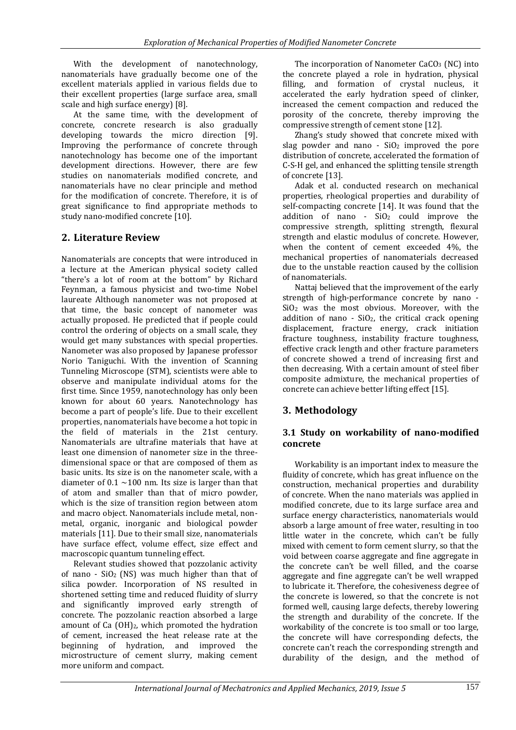With the development of nanotechnology, nanomaterials have gradually become one of the excellent materials applied in various fields due to their excellent properties (large surface area, small scale and high surface energy) [8].

At the same time, with the development of concrete, concrete research is also gradually developing towards the micro direction [9]. Improving the performance of concrete through nanotechnology has become one of the important development directions. However, there are few studies on nanomaterials modified concrete, and nanomaterials have no clear principle and method for the modification of concrete. Therefore, it is of great significance to find appropriate methods to study nano-modified concrete [10].

# **2. Literature Review**

Nanomaterials are concepts that were introduced in a lecture at the American physical society called "there's a lot of room at the bottom" by Richard Feynman, a famous physicist and two-time Nobel laureate Although nanometer was not proposed at that time, the basic concept of nanometer was actually proposed. He predicted that if people could control the ordering of objects on a small scale, they would get many substances with special properties. Nanometer was also proposed by Japanese professor Norio Taniguchi. With the invention of Scanning Tunneling Microscope (STM), scientists were able to observe and manipulate individual atoms for the first time. Since 1959, nanotechnology has only been known for about 60 years. Nanotechnology has become a part of people's life. Due to their excellent properties, nanomaterials have become a hot topic in the field of materials in the 21st century. Nanomaterials are ultrafine materials that have at least one dimension of nanometer size in the threedimensional space or that are composed of them as basic units. Its size is on the nanometer scale, with a diameter of 0.1  $\sim$ 100 nm. Its size is larger than that of atom and smaller than that of micro powder, which is the size of transition region between atom and macro object. Nanomaterials include metal, nonmetal, organic, inorganic and biological powder materials [11]. Due to their small size, nanomaterials have surface effect, volume effect, size effect and macroscopic quantum tunneling effect.

Relevant studies showed that pozzolanic activity of nano -  $SiO<sub>2</sub>$  (NS) was much higher than that of silica powder. Incorporation of NS resulted in shortened setting time and reduced fluidity of slurry and significantly improved early strength of concrete. The pozzolanic reaction absorbed a large amount of Ca (OH)2, which promoted the hydration of cement, increased the heat release rate at the beginning of hydration, and improved the microstructure of cement slurry, making cement more uniform and compact.

The incorporation of Nanometer CaCO<sub>3</sub> (NC) into the concrete played a role in hydration, physical filling, and formation of crystal nucleus, it accelerated the early hydration speed of clinker, increased the cement compaction and reduced the porosity of the concrete, thereby improving the compressive strength of cement stone [12].

Zhang's study showed that concrete mixed with slag powder and nano -  $SiO<sub>2</sub>$  improved the pore distribution of concrete, accelerated the formation of C-S-H gel, and enhanced the splitting tensile strength of concrete [13].

Adak et al. conducted research on mechanical properties, rheological properties and durability of self-compacting concrete [14]. It was found that the addition of nano -  $SiO<sub>2</sub>$  could improve the compressive strength, splitting strength, flexural strength and elastic modulus of concrete. However, when the content of cement exceeded 4%, the mechanical properties of nanomaterials decreased due to the unstable reaction caused by the collision of nanomaterials.

Nattaj believed that the improvement of the early strength of high-performance concrete by nano - SiO<sup>2</sup> was the most obvious. Moreover, with the addition of nano -  $SiO<sub>2</sub>$ , the critical crack opening displacement, fracture energy, crack initiation fracture toughness, instability fracture toughness, effective crack length and other fracture parameters of concrete showed a trend of increasing first and then decreasing. With a certain amount of steel fiber composite admixture, the mechanical properties of concrete can achieve better lifting effect [15].

# **3. Methodology**

### **3.1 Study on workability of nano-modified concrete**

Workability is an important index to measure the fluidity of concrete, which has great influence on the construction, mechanical properties and durability of concrete. When the nano materials was applied in modified concrete, due to its large surface area and surface energy characteristics, nanomaterials would absorb a large amount of free water, resulting in too little water in the concrete, which can't be fully mixed with cement to form cement slurry, so that the void between coarse aggregate and fine aggregate in the concrete can't be well filled, and the coarse aggregate and fine aggregate can't be well wrapped to lubricate it. Therefore, the cohesiveness degree of the concrete is lowered, so that the concrete is not formed well, causing large defects, thereby lowering the strength and durability of the concrete. If the workability of the concrete is too small or too large, the concrete will have corresponding defects, the concrete can't reach the corresponding strength and durability of the design, and the method of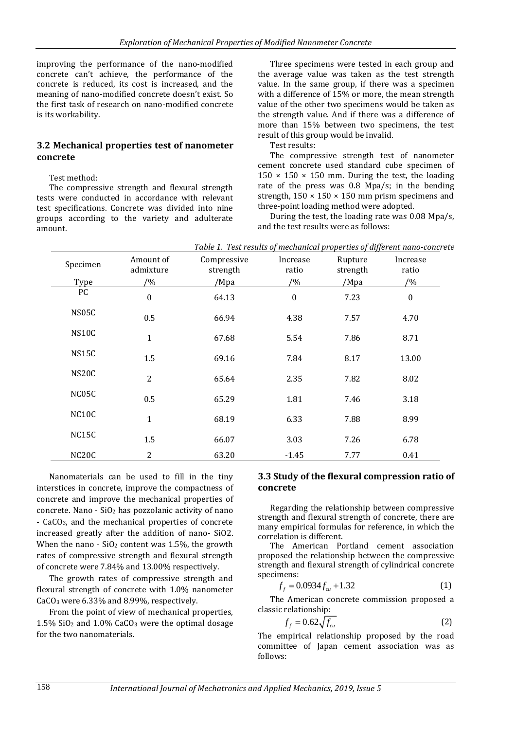improving the performance of the nano-modified concrete can't achieve, the performance of the concrete is reduced, its cost is increased, and the meaning of nano-modified concrete doesn't exist. So the first task of research on nano-modified concrete is its workability.

#### **3.2 Mechanical properties test of nanometer concrete**

#### Test method:

The compressive strength and flexural strength tests were conducted in accordance with relevant test specifications. Concrete was divided into nine groups according to the variety and adulterate amount.

Three specimens were tested in each group and the average value was taken as the test strength value. In the same group, if there was a specimen with a difference of 15% or more, the mean strength value of the other two specimens would be taken as the strength value. And if there was a difference of more than 15% between two specimens, the test result of this group would be invalid.

Test results:

The compressive strength test of nanometer cement concrete used standard cube specimen of  $150 \times 150 \times 150$  mm. During the test, the loading rate of the press was 0.8 Mpa/s; in the bending strength,  $150 \times 150 \times 150$  mm prism specimens and three-point loading method were adopted.

During the test, the loading rate was 0.08 Mpa/s, and the test results were as follows:

| Specimen<br>Type   | Amount of<br>admixture<br>$/ \frac{9}{6}$ | Compressive<br>strength<br>/Mpa | Increase<br>ratio<br>$/ \frac{9}{6}$ | Rupture<br>strength<br>/Mpa | Increase<br>ratio<br>$/ \frac{9}{6}$ |
|--------------------|-------------------------------------------|---------------------------------|--------------------------------------|-----------------------------|--------------------------------------|
| PC                 |                                           |                                 |                                      |                             |                                      |
|                    | $\boldsymbol{0}$                          | 64.13                           | $\boldsymbol{0}$                     | 7.23                        | $\boldsymbol{0}$                     |
| NS05C              | 0.5                                       | 66.94                           | 4.38                                 | 7.57                        | 4.70                                 |
| NS <sub>10</sub> C | $\mathbf{1}$                              | 67.68                           | 5.54                                 | 7.86                        | 8.71                                 |
| NS15C              | 1.5                                       | 69.16                           | 7.84                                 | 8.17                        | 13.00                                |
| NS <sub>20</sub> C | $\overline{2}$                            | 65.64                           | 2.35                                 | 7.82                        | 8.02                                 |
| NC05C              | 0.5                                       | 65.29                           | 1.81                                 | 7.46                        | 3.18                                 |
| NC10C              | $\mathbf 1$                               | 68.19                           | 6.33                                 | 7.88                        | 8.99                                 |
| NC <sub>15</sub> C | 1.5                                       | 66.07                           | 3.03                                 | 7.26                        | 6.78                                 |
| NC <sub>20</sub> C | 2                                         | 63.20                           | $-1.45$                              | 7.77                        | 0.41                                 |

*Table 1. Test results of mechanical properties of different nano-concrete*

Nanomaterials can be used to fill in the tiny interstices in concrete, improve the compactness of concrete and improve the mechanical properties of concrete. Nano - SiO<sup>2</sup> has pozzolanic activity of nano - CaCO3, and the mechanical properties of concrete increased greatly after the addition of nano- SiO2. When the nano -  $SiO<sub>2</sub>$  content was 1.5%, the growth rates of compressive strength and flexural strength of concrete were 7.84% and 13.00% respectively.

The growth rates of compressive strength and flexural strength of concrete with 1.0% nanometer CaCO<sup>3</sup> were 6.33% and 8.99%, respectively.

From the point of view of mechanical properties, 1.5%  $SiO<sub>2</sub>$  and 1.0% CaCO<sub>3</sub> were the optimal dosage for the two nanomaterials.

### **3.3 Study of the flexural compression ratio of concrete**

Regarding the relationship between compressive strength and flexural strength of concrete, there are many empirical formulas for reference, in which the correlation is different.

The American Portland cement association proposed the relationship between the compressive strength and flexural strength of cylindrical concrete specimens:

$$
f_f = 0.0934 f_{cu} + 1.32 \tag{1}
$$

The American concrete commission proposed a classic relationship:

$$
f_f = 0.62 \sqrt{f_{cu}} \tag{2}
$$

The empirical relationship proposed by the road committee of Japan cement association was as follows: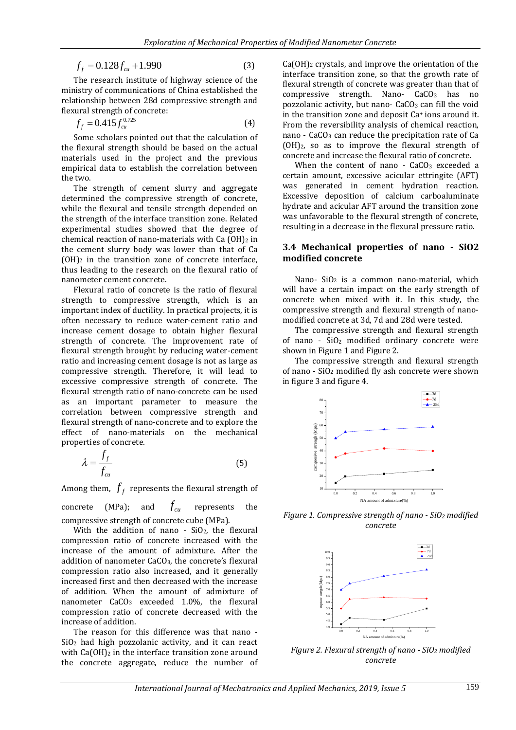$$
f_f = 0.128 f_{cu} + 1.990
$$
 (3)

The research institute of highway science of the ministry of communications of China established the relationship between 28d compressive strength and flexural strength of concrete:

$$
f_f = 0.415 f_{cu}^{0.725}
$$
 (4)

Some scholars pointed out that the calculation of the flexural strength should be based on the actual materials used in the project and the previous empirical data to establish the correlation between the two.

The strength of cement slurry and aggregate determined the compressive strength of concrete, while the flexural and tensile strength depended on the strength of the interface transition zone. Related experimental studies showed that the degree of chemical reaction of nano-materials with  $Ca(OH)<sub>2</sub>$  in the cement slurry body was lower than that of Ca  $(OH)_2$  in the transition zone of concrete interface, thus leading to the research on the flexural ratio of nanometer cement concrete.

*I*,  $J_1$  (1)  $2\pi$ ,  $J_2$  (1)  $2\pi$  (1)  $J_3$  (1)  $J_4$  (1)  $J_5$  (1)  $J_6$  (1)  $J_7$  (3)  $J_8$  (1)  $J_8$  (1)  $J_9$  (1)  $J_9$  (1)  $J_9$  (1)  $J_9$  (1)  $J_9$  (1)  $J_9$  (1)  $J_9$  (1)  $J_9$  (1)  $J_9$  (1)  $J_9$  (1)  $J_9$  (1) Flexural ratio of concrete is the ratio of flexural strength to compressive strength, which is an important index of ductility. In practical projects, it is often necessary to reduce water-cement ratio and increase cement dosage to obtain higher flexural strength of concrete. The improvement rate of flexural strength brought by reducing water-cement ratio and increasing cement dosage is not as large as compressive strength. Therefore, it will lead to excessive compressive strength of concrete. The flexural strength ratio of nano-concrete can be used as an important parameter to measure the correlation between compressive strength and flexural strength of nano-concrete and to explore the effect of nano-materials on the mechanical properties of concrete.

$$
\lambda = \frac{f_f}{f_{cu}}\tag{5}
$$

Among them,  $\,f_{f}\,$  represents the flexural strength of

concrete (MPa); and  $f_{\rm\scriptscriptstyle cu}$ represents the compressive strength of concrete cube (MPa).

With the addition of nano -  $SiO<sub>2</sub>$ , the flexural compression ratio of concrete increased with the increase of the amount of admixture. After the addition of nanometer CaCO3, the concrete's flexural compression ratio also increased, and it generally increased first and then decreased with the increase of addition. When the amount of admixture of nanometer CaCO<sub>3</sub> exceeded 1.0%, the flexural compression ratio of concrete decreased with the increase of addition.

The reason for this difference was that nano - SiO<sup>2</sup> had high pozzolanic activity, and it can react with  $Ca(OH)_2$  in the interface transition zone around the concrete aggregate, reduce the number of

Ca(OH)<sup>2</sup> crystals, and improve the orientation of the interface transition zone, so that the growth rate of flexural strength of concrete was greater than that of compressive strength. Nano-  $CaCO<sub>3</sub>$  has no pozzolanic activity, but nano- $CaCO<sub>3</sub>$  can fill the void in the transition zone and deposit Ca<sup>+</sup> ions around it. From the reversibility analysis of chemical reaction, nano -  $CaCO<sub>3</sub>$  can reduce the precipitation rate of Ca (OH)2, so as to improve the flexural strength of concrete and increase the flexural ratio of concrete.

When the content of nano -  $CaCO<sub>3</sub>$  exceeded a certain amount, excessive acicular ettringite (AFT) was generated in cement hydration reaction. Excessive deposition of calcium carboaluminate hydrate and acicular AFT around the transition zone was unfavorable to the flexural strength of concrete, resulting in a decrease in the flexural pressure ratio.

#### **3.4 Mechanical properties of nano - SiO2 modified concrete**

Nano- SiO<sub>2</sub> is a common nano-material, which will have a certain impact on the early strength of concrete when mixed with it. In this study, the compressive strength and flexural strength of nanomodified concrete at 3d, 7d and 28d were tested.

The compressive strength and flexural strength of nano -  $SiO<sub>2</sub>$  modified ordinary concrete were shown in Figure 1 and Figure 2.

The compressive strength and flexural strength of nano - SiO<sup>2</sup> modified fly ash concrete were shown in figure 3 and figure 4.



*Figure 1. Compressive strength of nano - SiO<sup>2</sup> modified concrete*



*Figure 2. Flexural strength of nano - SiO<sup>2</sup> modified concrete*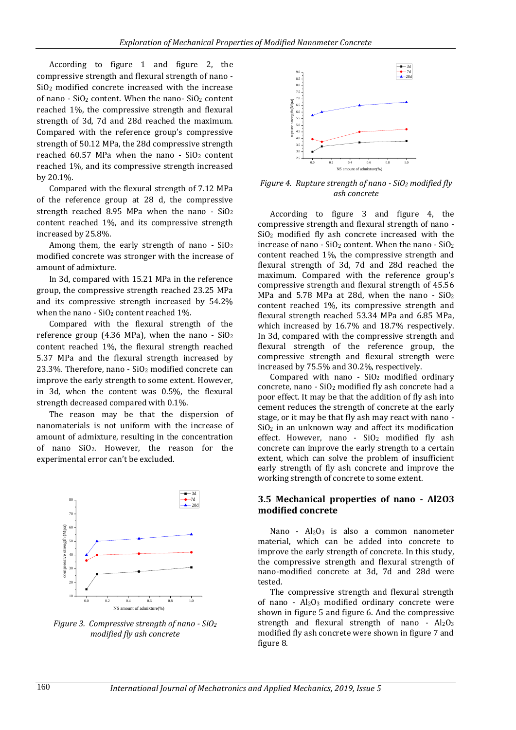According to figure 1 and figure 2, the compressive strength and flexural strength of nano - SiO<sup>2</sup> modified concrete increased with the increase of nano - SiO<sup>2</sup> content. When the nano- SiO<sup>2</sup> content reached 1%, the compressive strength and flexural strength of 3d, 7d and 28d reached the maximum. Compared with the reference group's compressive strength of 50.12 MPa, the 28d compressive strength reached 60.57 MPa when the nano -  $SiO<sub>2</sub>$  content reached 1%, and its compressive strength increased by 20.1%.

Compared with the flexural strength of 7.12 MPa of the reference group at 28 d, the compressive strength reached 8.95 MPa when the nano - SiO<sup>2</sup> content reached 1%, and its compressive strength increased by 25.8%.

Among them, the early strength of nano - SiO<sup>2</sup> modified concrete was stronger with the increase of amount of admixture.

In 3d, compared with 15.21 MPa in the reference group, the compressive strength reached 23.25 MPa and its compressive strength increased by 54.2% when the nano -  $SiO<sub>2</sub>$  content reached 1%.

Compared with the flexural strength of the reference group (4.36 MPa), when the nano -  $SiO<sub>2</sub>$ content reached 1%, the flexural strength reached 5.37 MPa and the flexural strength increased by 23.3%. Therefore, nano -  $SiO<sub>2</sub>$  modified concrete can improve the early strength to some extent. However, in 3d, when the content was 0.5%, the flexural strength decreased compared with 0.1%.

The reason may be that the dispersion of nanomaterials is not uniform with the increase of amount of admixture, resulting in the concentration of nano SiO2. However, the reason for the experimental error can't be excluded.



*Figure 3. Compressive strength of nano - SiO<sup>2</sup> modified fly ash concrete*



*Figure 4. Rupture strength of nano - SiO<sup>2</sup> modified fly ash concrete*

According to figure 3 and figure 4, the compressive strength and flexural strength of nano - SiO<sup>2</sup> modified fly ash concrete increased with the increase of nano -  $SiO<sub>2</sub>$  content. When the nano -  $SiO<sub>2</sub>$ content reached 1%, the compressive strength and flexural strength of 3d, 7d and 28d reached the maximum. Compared with the reference group's compressive strength and flexural strength of 45.56 MPa and 5.78 MPa at 28d, when the nano - SiO<sup>2</sup> content reached 1%, its compressive strength and flexural strength reached 53.34 MPa and 6.85 MPa, which increased by 16.7% and 18.7% respectively. In 3d, compared with the compressive strength and flexural strength of the reference group, the compressive strength and flexural strength were increased by 75.5% and 30.2%, respectively.

Compared with nano -  $SiO<sub>2</sub>$  modified ordinary concrete, nano - SiO<sup>2</sup> modified fly ash concrete had a poor effect. It may be that the addition of fly ash into cement reduces the strength of concrete at the early stage, or it may be that fly ash may react with nano -  $SiO<sub>2</sub>$  in an unknown way and affect its modification effect. However, nano -  $SiO<sub>2</sub>$  modified fly ash concrete can improve the early strength to a certain extent, which can solve the problem of insufficient early strength of fly ash concrete and improve the working strength of concrete to some extent.

#### **3.5 Mechanical properties of nano - Al2O3 modified concrete**

Nano -  $Al_2O_3$  is also a common nanometer material, which can be added into concrete to improve the early strength of concrete. In this study, the compressive strength and flexural strength of nano-modified concrete at 3d, 7d and 28d were tested.

The compressive strength and flexural strength of nano - Al2O<sup>3</sup> modified ordinary concrete were shown in figure 5 and figure 6. And the compressive strength and flexural strength of nano - Al2O3 modified fly ash concrete were shown in figure 7 and figure 8.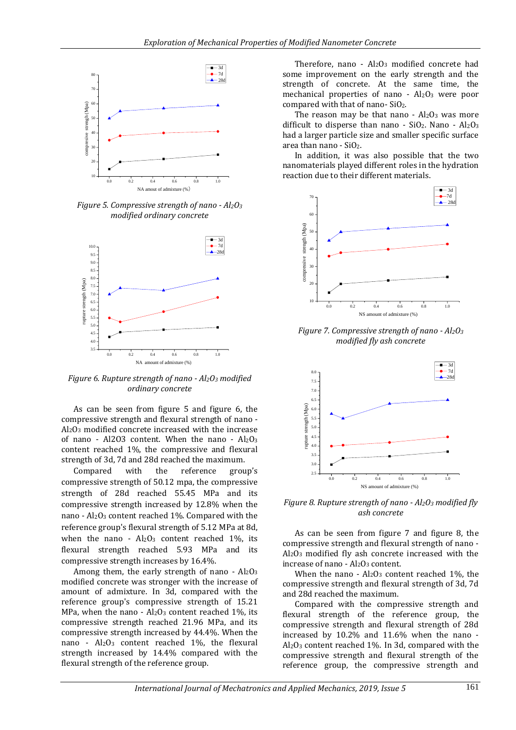

*Figure 5. Compressive strength of nano - Al2O<sup>3</sup> modified ordinary concrete*



*Figure 6. Rupture strength of nano - Al2O<sup>3</sup> modified ordinary concrete*

As can be seen from figure 5 and figure 6, the compressive strength and flexural strength of nano - Al2O<sup>3</sup> modified concrete increased with the increase of nano - Al2O3 content. When the nano - Al2O<sup>3</sup> content reached 1%, the compressive and flexural strength of 3d, 7d and 28d reached the maximum.

Compared with the reference group's compressive strength of 50.12 mpa, the compressive strength of 28d reached 55.45 MPa and its compressive strength increased by 12.8% when the nano - Al2O<sup>3</sup> content reached 1%. Compared with the reference group's flexural strength of 5.12 MPa at 8d, when the nano -  $Al_2O_3$  content reached 1%, its flexural strength reached 5.93 MPa and its compressive strength increases by 16.4%.

Among them, the early strength of nano -  $Al_2O_3$ modified concrete was stronger with the increase of amount of admixture. In 3d, compared with the reference group's compressive strength of 15.21 MPa, when the nano -  $Al_2O_3$  content reached 1%, its compressive strength reached 21.96 MPa, and its compressive strength increased by 44.4%. When the nano - Al2O<sup>3</sup> content reached 1%, the flexural strength increased by 14.4% compared with the flexural strength of the reference group.

Therefore, nano - Al2O3 modified concrete had some improvement on the early strength and the strength of concrete. At the same time, the mechanical properties of nano -  $Al_2O_3$  were poor compared with that of nano- SiO2.

The reason may be that nano  $-$  Al<sub>2</sub>O<sub>3</sub> was more difficult to disperse than nano -  $SiO_2$ . Nano -  $Al_2O_3$ had a larger particle size and smaller specific surface area than nano - SiO2.

In addition, it was also possible that the two nanomaterials played different roles in the hydration reaction due to their different materials.



*Figure 7. Compressive strength of nano - Al2O<sup>3</sup> modified fly ash concrete*



*Figure 8. Rupture strength of nano - Al2O<sup>3</sup> modified fly ash concrete*

As can be seen from figure 7 and figure 8, the compressive strength and flexural strength of nano - Al2O<sup>3</sup> modified fly ash concrete increased with the increase of nano - Al<sub>2</sub>O<sub>3</sub> content.

When the nano -  $Al_2O_3$  content reached 1%, the compressive strength and flexural strength of 3d, 7d and 28d reached the maximum.

Compared with the compressive strength and flexural strength of the reference group, the compressive strength and flexural strength of 28d increased by 10.2% and 11.6% when the nano -  $Al_2O_3$  content reached 1%. In 3d, compared with the compressive strength and flexural strength of the reference group, the compressive strength and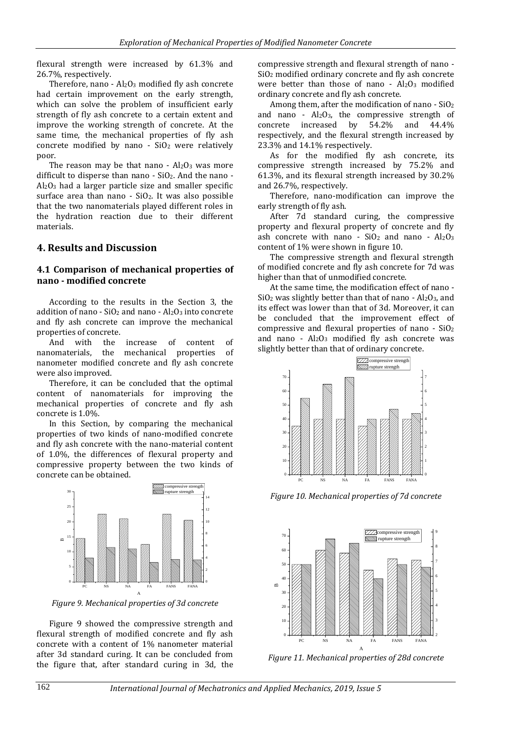flexural strength were increased by 61.3% and 26.7%, respectively.

Therefore, nano -  $Al_2O_3$  modified fly ash concrete had certain improvement on the early strength, which can solve the problem of insufficient early strength of fly ash concrete to a certain extent and improve the working strength of concrete. At the same time, the mechanical properties of fly ash concrete modified by nano -  $SiO<sub>2</sub>$  were relatively poor.

The reason may be that nano -  $Al_2O_3$  was more difficult to disperse than nano -  $SiO<sub>2</sub>$ . And the nano -Al2O<sup>3</sup> had a larger particle size and smaller specific surface area than nano -  $SiO<sub>2</sub>$ . It was also possible that the two nanomaterials played different roles in the hydration reaction due to their different materials.

# **4. Results and Discussion**

### **4.1 Comparison of mechanical properties of nano - modified concrete**

According to the results in the Section 3, the addition of nano -  $SiO<sub>2</sub>$  and nano -  $Al<sub>2</sub>O<sub>3</sub>$  into concrete and fly ash concrete can improve the mechanical properties of concrete.

And with the increase of content of nanomaterials, the mechanical properties of nanometer modified concrete and fly ash concrete were also improved.

Therefore, it can be concluded that the optimal content of nanomaterials for improving the mechanical properties of concrete and fly ash concrete is 1.0%.

In this Section, by comparing the mechanical properties of two kinds of nano-modified concrete and fly ash concrete with the nano-material content of 1.0%, the differences of flexural property and compressive property between the two kinds of concrete can be obtained.



*Figure 9. Mechanical properties of 3d concrete*

A

Figure 9 showed the compressive strength and flexural strength of modified concrete and fly ash concrete with a content of 1% nanometer material after 3d standard curing. It can be concluded from the figure that, after standard curing in 3d, the compressive strength and flexural strength of nano - SiO<sup>2</sup> modified ordinary concrete and fly ash concrete were better than those of nano -  $Al_2O_3$  modified ordinary concrete and fly ash concrete.

Among them, after the modification of nano -  $SiO<sub>2</sub>$ and nano -  $Al_2O_3$ , the compressive strength of concrete increased by 54.2% and 44.4% respectively, and the flexural strength increased by 23.3% and 14.1% respectively.

As for the modified fly ash concrete, its compressive strength increased by 75.2% and 61.3%, and its flexural strength increased by 30.2% and 26.7%, respectively.

Therefore, nano-modification can improve the early strength of fly ash.

After 7d standard curing, the compressive property and flexural property of concrete and fly ash concrete with nano -  $SiO<sub>2</sub>$  and nano -  $Al<sub>2</sub>O<sub>3</sub>$ content of 1% were shown in figure 10.

The compressive strength and flexural strength of modified concrete and fly ash concrete for 7d was higher than that of unmodified concrete.

At the same time, the modification effect of nano -  $SiO<sub>2</sub>$  was slightly better than that of nano - Al<sub>2</sub>O<sub>3</sub>, and its effect was lower than that of 3d. Moreover, it can be concluded that the improvement effect of compressive and flexural properties of nano - SiO<sup>2</sup> and nano -  $Al_2O_3$  modified fly ash concrete was slightly better than that of ordinary concrete.



*Figure 10. Mechanical properties of 7d concrete*



*Figure 11. Mechanical properties of 28d concrete*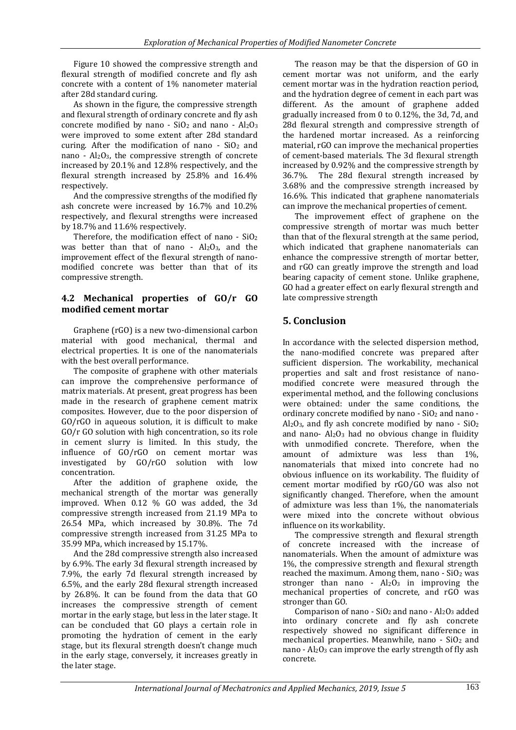Figure 10 showed the compressive strength and flexural strength of modified concrete and fly ash concrete with a content of 1% nanometer material after 28d standard curing.

As shown in the figure, the compressive strength and flexural strength of ordinary concrete and fly ash concrete modified by nano -  $SiO<sub>2</sub>$  and nano -  $Al<sub>2</sub>O<sub>3</sub>$ were improved to some extent after 28d standard curing. After the modification of nano -  $SiO<sub>2</sub>$  and nano - Al2O3, the compressive strength of concrete increased by 20.1% and 12.8% respectively, and the flexural strength increased by 25.8% and 16.4% respectively.

And the compressive strengths of the modified fly ash concrete were increased by 16.7% and 10.2% respectively, and flexural strengths were increased by 18.7% and 11.6% respectively.

Therefore, the modification effect of nano -  $SiO<sub>2</sub>$ was better than that of nano -  $Al_2O_3$ , and the improvement effect of the flexural strength of nanomodified concrete was better than that of its compressive strength.

## **4.2 Mechanical properties of GO/r GO modified cement mortar**

Graphene (rGO) is a new two-dimensional carbon material with good mechanical, thermal and electrical properties. It is one of the nanomaterials with the best overall performance.

The composite of graphene with other materials can improve the comprehensive performance of matrix materials. At present, great progress has been made in the research of graphene cement matrix composites. However, due to the poor dispersion of GO/rGO in aqueous solution, it is difficult to make GO/r GO solution with high concentration, so its role in cement slurry is limited. In this study, the influence of GO/rGO on cement mortar was investigated by GO/rGO solution with low concentration.

After the addition of graphene oxide, the mechanical strength of the mortar was generally improved. When 0.12 % GO was added, the 3d compressive strength increased from 21.19 MPa to 26.54 MPa, which increased by 30.8%. The 7d compressive strength increased from 31.25 MPa to 35.99 MPa, which increased by 15.17%.

And the 28d compressive strength also increased by 6.9%. The early 3d flexural strength increased by 7.9%, the early 7d flexural strength increased by 6.5%, and the early 28d flexural strength increased by 26.8%. It can be found from the data that GO increases the compressive strength of cement mortar in the early stage, but less in the later stage. It can be concluded that GO plays a certain role in promoting the hydration of cement in the early stage, but its flexural strength doesn't change much in the early stage, conversely, it increases greatly in the later stage.

The reason may be that the dispersion of GO in cement mortar was not uniform, and the early cement mortar was in the hydration reaction period, and the hydration degree of cement in each part was different. As the amount of graphene added gradually increased from 0 to 0.12%, the 3d, 7d, and 28d flexural strength and compressive strength of the hardened mortar increased. As a reinforcing material, rGO can improve the mechanical properties of cement-based materials. The 3d flexural strength increased by 0.92% and the compressive strength by 36.7%. The 28d flexural strength increased by 3.68% and the compressive strength increased by 16.6%. This indicated that graphene nanomaterials can improve the mechanical properties of cement.

The improvement effect of graphene on the compressive strength of mortar was much better than that of the flexural strength at the same period, which indicated that graphene nanomaterials can enhance the compressive strength of mortar better, and rGO can greatly improve the strength and load bearing capacity of cement stone. Unlike graphene, GO had a greater effect on early flexural strength and late compressive strength

# **5. Conclusion**

In accordance with the selected dispersion method, the nano-modified concrete was prepared after sufficient dispersion. The workability, mechanical properties and salt and frost resistance of nanomodified concrete were measured through the experimental method, and the following conclusions were obtained: under the same conditions, the ordinary concrete modified by nano -  $SiO<sub>2</sub>$  and nano -Al<sub>2</sub>O<sub>3</sub>, and fly ash concrete modified by nano - SiO<sub>2</sub> and nano-  $Al_2O_3$  had no obvious change in fluidity with unmodified concrete. Therefore, when the amount of admixture was less than 1%, nanomaterials that mixed into concrete had no obvious influence on its workability. The fluidity of cement mortar modified by rGO/GO was also not significantly changed. Therefore, when the amount of admixture was less than 1%, the nanomaterials were mixed into the concrete without obvious influence on its workability.

The compressive strength and flexural strength of concrete increased with the increase of nanomaterials. When the amount of admixture was 1%, the compressive strength and flexural strength reached the maximum. Among them, nano - SiO<sup>2</sup> was stronger than nano -  $Al_2O_3$  in improving the mechanical properties of concrete, and rGO was stronger than GO.

Comparison of nano -  $SiO<sub>2</sub>$  and nano -  $Al<sub>2</sub>O<sub>3</sub>$  added into ordinary concrete and fly ash concrete respectively showed no significant difference in mechanical properties. Meanwhile, nano - SiO<sup>2</sup> and nano -  $Al_2O_3$  can improve the early strength of fly ash concrete.